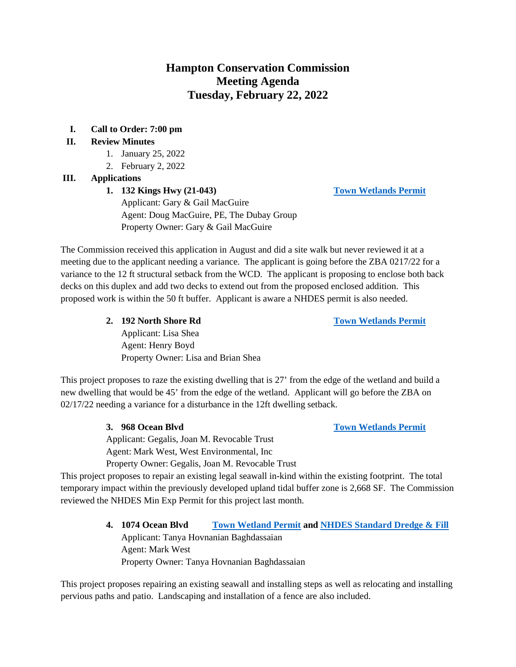# **Hampton Conservation Commission Meeting Agenda Tuesday, February 22, 2022**

**I. Call to Order: 7:00 pm** 

#### **II. Review Minutes**

- 1. January 25, 2022
- 2. February 2, 2022

#### **III. Applications**

## **1. 132 Kings Hwy (21-043) [Town Wetlands Permit](https://www.hamptonnh.gov/DocumentCenter/View/4952/132-Kings-Hwy-Submittal-Package)**

Applicant: Gary & Gail MacGuire Agent: Doug MacGuire, PE, The Dubay Group Property Owner: Gary & Gail MacGuire

The Commission received this application in August and did a site walk but never reviewed it at a meeting due to the applicant needing a variance. The applicant is going before the ZBA 0217/22 for a variance to the 12 ft structural setback from the WCD. The applicant is proposing to enclose both back decks on this duplex and add two decks to extend out from the proposed enclosed addition. This proposed work is within the 50 ft buffer. Applicant is aware a NHDES permit is also needed.

**2. 192 North Shore Rd [Town Wetlands Permit](https://www.hamptonnh.gov/DocumentCenter/View/5041/2022-192-North-Shore-Rd-Town-Wetlands-App)**

Applicant: Lisa Shea Agent: Henry Boyd Property Owner: Lisa and Brian Shea

This project proposes to raze the existing dwelling that is 27' from the edge of the wetland and build a new dwelling that would be 45' from the edge of the wetland. Applicant will go before the ZBA on 02/17/22 needing a variance for a disturbance in the 12ft dwelling setback.

> Applicant: Gegalis, Joan M. Revocable Trust Agent: Mark West, West Environmental, Inc

Property Owner: Gegalis, Joan M. Revocable Trust

This project proposes to repair an existing legal seawall in-kind within the existing footprint. The total temporary impact within the previously developed upland tidal buffer zone is 2,668 SF. The Commission reviewed the NHDES Min Exp Permit for this project last month.

> **4. 1074 Ocean Blvd [Town Wetland Permit](https://www.hamptonnh.gov/DocumentCenter/View/5034/1074-Ocean-Blvd-Town-Wetlands-Permit-2022-FINAL) and [NHDES Standard Dredge & Fill](https://www.hamptonnh.gov/DocumentCenter/View/5046/1074-OB-NHDES-Standard-Dredge-and-Fill)** Applicant: Tanya Hovnanian Baghdassaian Agent: Mark West Property Owner: Tanya Hovnanian Baghdassaian

This project proposes repairing an existing seawall and installing steps as well as relocating and installing pervious paths and patio. Landscaping and installation of a fence are also included.

**3. 968 Ocean Blvd [Town Wetlands Permit](https://www.hamptonnh.gov/DocumentCenter/View/5033/968-Ocean-Blvd--2022-Town-Wetland-Application)**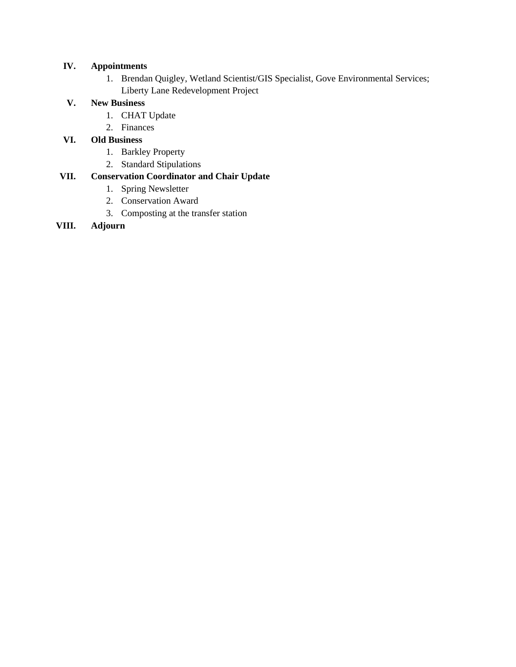### **IV. Appointments**

1. Brendan Quigley, Wetland Scientist/GIS Specialist, Gove Environmental Services; Liberty Lane Redevelopment Project

#### **V. New Business**

- 1. CHAT Update
- 2. Finances

#### **VI. Old Business**

- 1. Barkley Property
- 2. Standard Stipulations

## **VII. Conservation Coordinator and Chair Update**

- 1. Spring Newsletter
- 2. Conservation Award
- 3. Composting at the transfer station

#### **VIII. Adjourn**